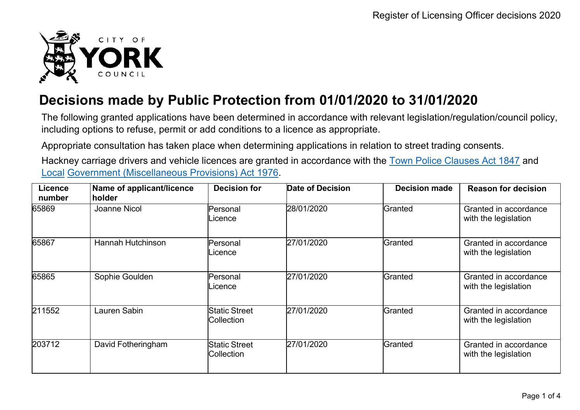

## **Decisions made by Public Protection from 01/01/2020 to 31/01/2020**

The following granted applications have been determined in accordance with relevant legislation/regulation/council policy, including options to refuse, permit or add conditions to a licence as appropriate.

Appropriate consultation has taken place when determining applications in relation to street trading consents.

Hackney carriage drivers and vehicle licences are granted in accordance with the Town Police [Clauses](http://www.legislation.gov.uk/ukpga/Vict/10-11/89) Act 1847 and [Local](http://www.legislation.gov.uk/ukpga/1976/57) [Government \(Miscellaneous Provisions\) Act 1976.](http://www.legislation.gov.uk/ukpga/1976/57)

| Licence<br>number | Name of applicant/licence<br>holder | <b>Decision for</b>                | Date of Decision | <b>Decision made</b> | <b>Reason for decision</b>                    |
|-------------------|-------------------------------------|------------------------------------|------------------|----------------------|-----------------------------------------------|
| 65869             | <b>Joanne Nicol</b>                 | Personal<br>Licence                | 28/01/2020       | Granted              | Granted in accordance<br>with the legislation |
| 65867             | Hannah Hutchinson                   | Personal<br>Licence                | 27/01/2020       | Granted              | Granted in accordance<br>with the legislation |
| 65865             | Sophie Goulden                      | Personal<br>Licence                | 27/01/2020       | Granted              | Granted in accordance<br>with the legislation |
| 211552            | Lauren Sabin                        | <b>Static Street</b><br>Collection | 27/01/2020       | Granted              | Granted in accordance<br>with the legislation |
| 203712            | David Fotheringham                  | <b>Static Street</b><br>Collection | 27/01/2020       | Granted              | Granted in accordance<br>with the legislation |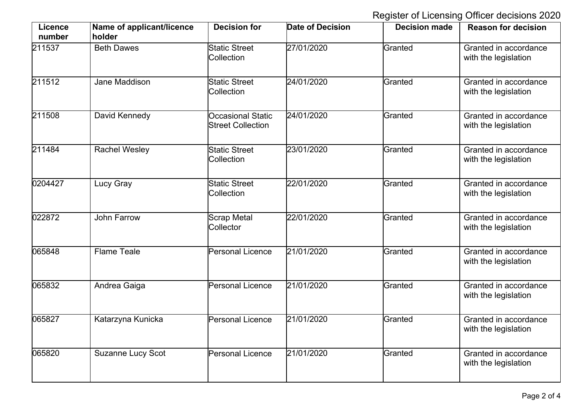Register of Licensing Officer decisions 2020

| Licence<br>number | Name of applicant/licence<br>holder | <b>Decision for</b>                                  | <b>Date of Decision</b> | <b>Decision made</b> | <b>Reason for decision</b>                    |
|-------------------|-------------------------------------|------------------------------------------------------|-------------------------|----------------------|-----------------------------------------------|
| 211537            | <b>Beth Dawes</b>                   | <b>Static Street</b><br>Collection                   | 27/01/2020              | Granted              | Granted in accordance<br>with the legislation |
| 211512            | Jane Maddison                       | <b>Static Street</b><br>Collection                   | 24/01/2020              | Granted              | Granted in accordance<br>with the legislation |
| 211508            | David Kennedy                       | <b>Occasional Static</b><br><b>Street Collection</b> | 24/01/2020              | Granted              | Granted in accordance<br>with the legislation |
| 211484            | <b>Rachel Wesley</b>                | <b>Static Street</b><br>Collection                   | 23/01/2020              | Granted              | Granted in accordance<br>with the legislation |
| 0204427           | <b>Lucy Gray</b>                    | <b>Static Street</b><br>Collection                   | 22/01/2020              | Granted              | Granted in accordance<br>with the legislation |
| 022872            | <b>John Farrow</b>                  | <b>Scrap Metal</b><br>Collector                      | 22/01/2020              | Granted              | Granted in accordance<br>with the legislation |
| 065848            | <b>Flame Teale</b>                  | <b>Personal Licence</b>                              | 21/01/2020              | Granted              | Granted in accordance<br>with the legislation |
| 065832            | Andrea Gaiga                        | <b>Personal Licence</b>                              | 21/01/2020              | Granted              | Granted in accordance<br>with the legislation |
| 065827            | Katarzyna Kunicka                   | <b>Personal Licence</b>                              | 21/01/2020              | Granted              | Granted in accordance<br>with the legislation |
| 065820            | <b>Suzanne Lucy Scot</b>            | <b>Personal Licence</b>                              | 21/01/2020              | Granted              | Granted in accordance<br>with the legislation |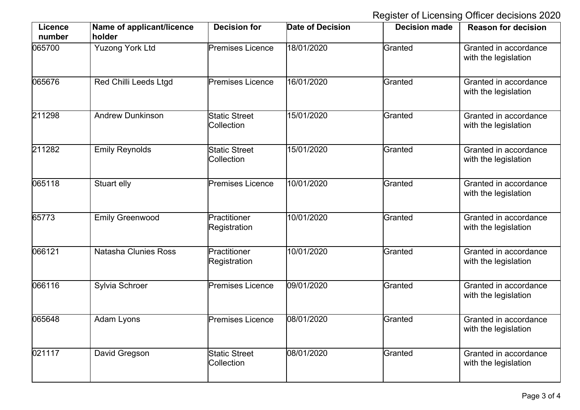Register of Licensing Officer decisions 2020

| <b>Licence</b><br>number | Name of applicant/licence<br>holder | <b>Decision for</b>                | <b>Date of Decision</b> | <b>Decision made</b> | <b>Reason for decision</b>                    |
|--------------------------|-------------------------------------|------------------------------------|-------------------------|----------------------|-----------------------------------------------|
| 065700                   | <b>Yuzong York Ltd</b>              | <b>Premises Licence</b>            | 18/01/2020              | Granted              | Granted in accordance<br>with the legislation |
| 065676                   | <b>Red Chilli Leeds Ltgd</b>        | <b>Premises Licence</b>            | 16/01/2020              | Granted              | Granted in accordance<br>with the legislation |
| 211298                   | <b>Andrew Dunkinson</b>             | <b>Static Street</b><br>Collection | 15/01/2020              | Granted              | Granted in accordance<br>with the legislation |
| 211282                   | <b>Emily Reynolds</b>               | <b>Static Street</b><br>Collection | 15/01/2020              | Granted              | Granted in accordance<br>with the legislation |
| 065118                   | Stuart elly                         | <b>Premises Licence</b>            | 10/01/2020              | Granted              | Granted in accordance<br>with the legislation |
| 65773                    | <b>Emily Greenwood</b>              | Practitioner<br>Registration       | 10/01/2020              | Granted              | Granted in accordance<br>with the legislation |
| 066121                   | <b>Natasha Clunies Ross</b>         | Practitioner<br>Registration       | 10/01/2020              | Granted              | Granted in accordance<br>with the legislation |
| 066116                   | Sylvia Schroer                      | <b>Premises Licence</b>            | 09/01/2020              | Granted              | Granted in accordance<br>with the legislation |
| 065648                   | Adam Lyons                          | <b>Premises Licence</b>            | 08/01/2020              | Granted              | Granted in accordance<br>with the legislation |
| 021117                   | David Gregson                       | <b>Static Street</b><br>Collection | 08/01/2020              | Granted              | Granted in accordance<br>with the legislation |